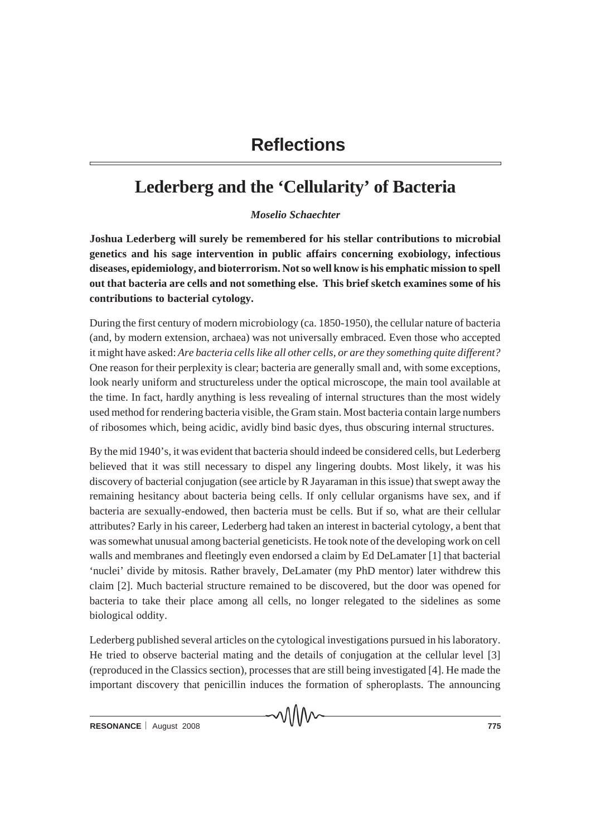# **Reflections**

# **Lederberg and the 'Cellularity' of Bacteria**

## *Moselio Schaechter*

**Joshua Lederberg will surely be remembered for his stellar contributions to microbial genetics and his sage intervention in public affairs concerning exobiology, infectious diseases, epidemiology, and bioterrorism. Not so well know is his emphatic mission to spell out that bacteria are cells and not something else. This brief sketch examines some of his contributions to bacterial cytology.**

During the first century of modern microbiology (ca. 1850-1950), the cellular nature of bacteria (and, by modern extension, archaea) was not universally embraced. Even those who accepted it might have asked: *Are bacteria cells like all other cells, or are they something quite different?* One reason for their perplexity is clear; bacteria are generally small and, with some exceptions, look nearly uniform and structureless under the optical microscope, the main tool available at the time. In fact, hardly anything is less revealing of internal structures than the most widely used method for rendering bacteria visible, the Gram stain. Most bacteria contain large numbers of ribosomes which, being acidic, avidly bind basic dyes, thus obscuring internal structures.

By the mid 1940's, it was evident that bacteria should indeed be considered cells, but Lederberg believed that it was still necessary to dispel any lingering doubts. Most likely, it was his discovery of bacterial conjugation (see article by R Jayaraman in this issue) that swept away the remaining hesitancy about bacteria being cells. If only cellular organisms have sex, and if bacteria are sexually-endowed, then bacteria must be cells. But if so, what are their cellular attributes? Early in his career, Lederberg had taken an interest in bacterial cytology, a bent that was somewhat unusual among bacterial geneticists. He took note of the developing work on cell walls and membranes and fleetingly even endorsed a claim by Ed DeLamater [1] that bacterial 'nuclei' divide by mitosis. Rather bravely, DeLamater (my PhD mentor) later withdrew this claim [2]. Much bacterial structure remained to be discovered, but the door was opened for bacteria to take their place among all cells, no longer relegated to the sidelines as some biological oddity.

Lederberg published several articles on the cytological investigations pursued in his laboratory. He tried to observe bacterial mating and the details of conjugation at the cellular level [3] (reproduced in the Classics section), processes that are still being investigated [4]. He made the important discovery that penicillin induces the formation of spheroplasts. The announcing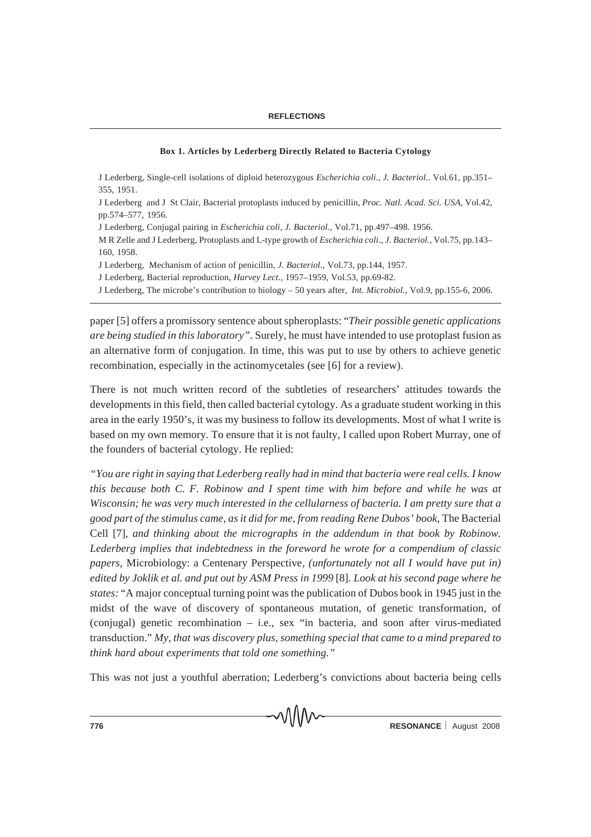#### **REFLECTIONS**

| Box 1. Articles by Lederberg Directly Related to Bacteria Cytology                                                                |
|-----------------------------------------------------------------------------------------------------------------------------------|
| J Lederberg, Single-cell isolations of diploid heterozygous Escherichia coli., J. Bacteriol Vol.61, pp.351–<br>355, 1951.         |
| J Lederberg and J St Clair, Bacterial protoplasts induced by penicillin, Proc. Natl. Acad. Sci. USA, Vol.42,<br>pp.574–577, 1956. |
| J Lederberg, Conjugal pairing in <i>Escherichia coli, J. Bacteriol.</i> , Vol.71, pp.497–498. 1956.                               |
| M R Zelle and J Lederberg, Protoplasts and L-type growth of Escherichia coli., J. Bacteriol., Vol.75, pp.143–<br>160, 1958.       |
| J Lederberg, Mechanism of action of penicillin, <i>J. Bacteriol.</i> , Vol.73, pp.144, 1957.                                      |
| J Lederberg, Bacterial reproduction, <i>Harvey Lect.</i> , 1957–1959, Vol.53, pp.69-82.                                           |
| J Lederberg, The microbe's contribution to biology – 50 years after, <i>Int. Microbiol.</i> , Vol.9, pp.155-6, 2006.              |

paper [5] offers a promissory sentence about spheroplasts: "*Their possible genetic applications are being studied in this laboratory"*. Surely, he must have intended to use protoplast fusion as an alternative form of conjugation. In time, this was put to use by others to achieve genetic recombination, especially in the actinomycetales (see [6] for a review).

There is not much written record of the subtleties of researchers' attitudes towards the developments in this field, then called bacterial cytology. As a graduate student working in this area in the early 1950's, it was my business to follow its developments. Most of what I write is based on my own memory. To ensure that it is not faulty, I called upon Robert Murray, one of the founders of bacterial cytology. He replied:

*"You are right in saying that Lederberg really had in mind that bacteria were real cells. I know this because both C. F. Robinow and I spent time with him before and while he was at Wisconsin; he was very much interested in the cellularness of bacteria. I am pretty sure that a good part of the stimulus came, as it did for me, from reading Rene Dubos' book,* The Bacterial Cell [7]*, and thinking about the micrographs in the addendum in that book by Robinow. Lederberg implies that indebtedness in the foreword he wrote for a compendium of classic papers,* Microbiology: a Centenary Perspective*, (unfortunately not all I would have put in) edited by Joklik et al. and put out by ASM Press in 1999* [8]*. Look at his second page where he states:* "A major conceptual turning point was the publication of Dubos book in 1945 just in the midst of the wave of discovery of spontaneous mutation, of genetic transformation, of (conjugal) genetic recombination – i.e., sex "in bacteria, and soon after virus-mediated transduction." *My, that was discovery plus, something special that came to a mind prepared to think hard about experiments that told one something."*

This was not just a youthful aberration; Lederberg's convictions about bacteria being cells